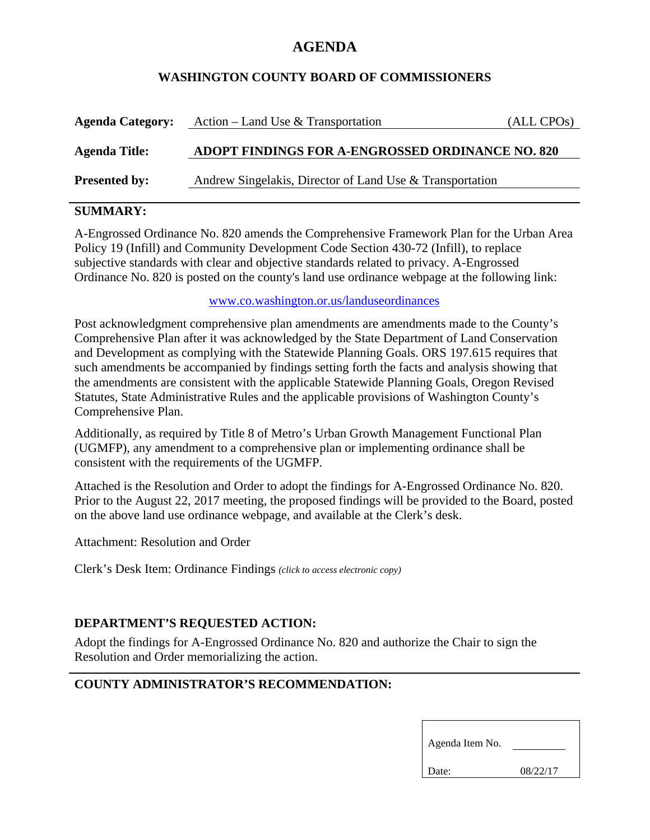# **AGENDA**

#### **WASHINGTON COUNTY BOARD OF COMMISSIONERS**

| <b>Agenda Category:</b> | Action – Land Use & Transportation                       | $(ALL$ CPOs) |
|-------------------------|----------------------------------------------------------|--------------|
| <b>Agenda Title:</b>    | ADOPT FINDINGS FOR A-ENGROSSED ORDINANCE NO. 820         |              |
| <b>Presented by:</b>    | Andrew Singelakis, Director of Land Use & Transportation |              |

## **SUMMARY:**

A-Engrossed Ordinance No. 820 amends the Comprehensive Framework Plan for the Urban Area Policy 19 (Infill) and Community Development Code Section 430-72 (Infill), to replace subjective standards with clear and objective standards related to privacy. A-Engrossed Ordinance No. 820 is posted on the county's land use ordinance webpage at the following link:

www.co.washington.or.us/landuseordinances

Post acknowledgment comprehensive plan amendments are amendments made to the County's Comprehensive Plan after it was acknowledged by the State Department of Land Conservation and Development as complying with the Statewide Planning Goals. ORS 197.615 requires that such amendments be accompanied by findings setting forth the facts and analysis showing that the amendments are consistent with the applicable Statewide Planning Goals, Oregon Revised Statutes, State Administrative Rules and the applicable provisions of Washington County's Comprehensive Plan.

Additionally, as required by Title 8 of Metro's Urban Growth Management Functional Plan (UGMFP), any amendment to a comprehensive plan or implementing ordinance shall be consistent with the requirements of the UGMFP.

Attached is the Resolution and Order to adopt the findings for A-Engrossed Ordinance No. 820. Prior to the August 22, 2017 meeting, the proposed findings will be provided to the Board, posted on the above land use ordinance webpage, and available at the Clerk's desk.

Attachment: Resolution and Order

Clerk's Desk Item: Ordinance Findings *(click to access electronic copy)*

#### **DEPARTMENT'S REQUESTED ACTION:**

Adopt the findings for A-Engrossed Ordinance No. 820 and authorize the Chair to sign the Resolution and Order memorializing the action.

## **COUNTY ADMINISTRATOR'S RECOMMENDATION:**

| Agenda Item No. |          |  |
|-----------------|----------|--|
| Date:           | 08/22/17 |  |